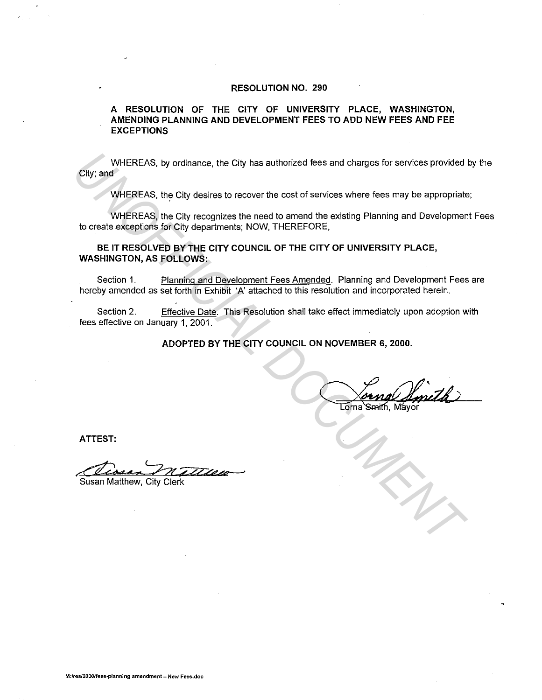#### **RESOLUTION NO. 290**

#### **A RESOLUTION OF THE CITY OF UNIVERSITY PLACE, WASHINGTON, AMENDING PLANNING AND DEVELOPMENT FEES TO ADD NEW FEES AND FEE EXCEPTIONS**

WHEREAS, by ordinance, the City has authorized fees and charges for services provided by the City; and WHEREAS, by ordinance, the City has authorized fees and charges for services provided<br>
UNIFEREAS, the City desires to recover the cost of services where fees may be appropriate<br>
UNIFEREAS, the City departments: NOW, THEREF

WHEREAS, the City desires to recover the cost of services where fees may be appropriate;

WHEREAS, the City recognizes the need to amend the existing Planning and Development Fees to create exceptions for City departments; NOW, THEREFORE,

**BE IT RESOLVED BY THE CITY COUNCIL OF THE CITY OF UNIVERSITY PLACE, WASHINGTON, AS FOLLOWS:** 

Section 1. Planning and Development Fees Amended. Planning and Development Fees are hereby amended as set forth in Exhibit 'A' attached to this resolution and incorporated herein.

Section 2. Effective Date. This Resolution shall take effect immediately upon adoption with fees effective on January 1, 2001.

**ADOPTED BY THE CITY COUNCIL ON NOVEMBER 6, 2000.** 

**ATTEST:** 

~? , **rt** *':hr* **d'«u&t-->** 

Susan Matthew, City Clerk